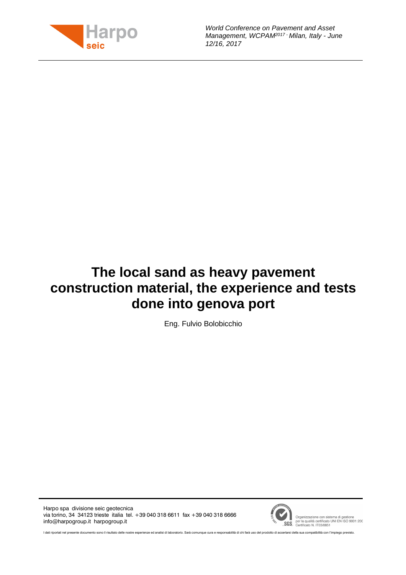

World Conference on Pavement and Asset Management, WCPAM<sup>2017</sup> - Milan, Italy - June 12/16, 2017

# **The local sand as heavy pavement construction material, the experience and tests done into genova port**

Eng. Fulvio Bolobicchio

Harpo spa divisione seic geotecnica via torino, 34 34123 trieste italia tel. +39 040 318 6611 fax +39 040 318 6666 info@harpogroup.it harpogroup.it



Organizzazione con sistema di gestione<br>SGS er la qualità certificato UNI EN ISO 9001:200

I dati riportati nel presente documento sono il risultato delle nostre esperienze ed analisi di laboratorio. Sarà comunque cura e responsabilità di chi farà uso del prodotto di accertarsi della sua compatibilità con l'impi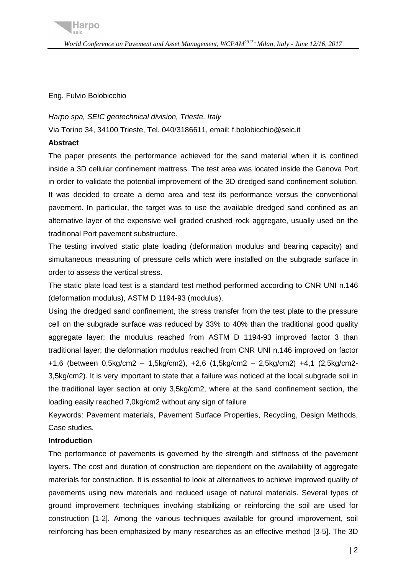Eng. Fulvio Bolobicchio

#### Harpo spa, SEIC geotechnical division, Trieste, Italy

Via Torino 34, 34100 Trieste, Tel. 040/3186611, email: f.bolobicchio@seic.it

#### **Abstract**

The paper presents the performance achieved for the sand material when it is confined inside a 3D cellular confinement mattress. The test area was located inside the Genova Port in order to validate the potential improvement of the 3D dredged sand confinement solution. It was decided to create a demo area and test its performance versus the conventional pavement. In particular, the target was to use the available dredged sand confined as an alternative layer of the expensive well graded crushed rock aggregate, usually used on the traditional Port pavement substructure.

The testing involved static plate loading (deformation modulus and bearing capacity) and simultaneous measuring of pressure cells which were installed on the subgrade surface in order to assess the vertical stress.

The static plate load test is a standard test method performed according to CNR UNI n.146 (deformation modulus), ASTM D 1194-93 (modulus).

Using the dredged sand confinement, the stress transfer from the test plate to the pressure cell on the subgrade surface was reduced by 33% to 40% than the traditional good quality aggregate layer; the modulus reached from ASTM D 1194-93 improved factor 3 than traditional layer; the deformation modulus reached from CNR UNI n.146 improved on factor +1,6 (between 0,5kg/cm2 – 1,5kg/cm2), +2,6 (1,5kg/cm2 – 2,5kg/cm2) +4,1 (2,5kg/cm2- 3,5kg/cm2). It is very important to state that a failure was noticed at the local subgrade soil in the traditional layer section at only 3,5kg/cm2, where at the sand confinement section, the loading easily reached 7,0kg/cm2 without any sign of failure

Keywords: Pavement materials, Pavement Surface Properties, Recycling, Design Methods, Case studies.

## **Introduction**

The performance of pavements is governed by the strength and stiffness of the pavement layers. The cost and duration of construction are dependent on the availability of aggregate materials for construction. It is essential to look at alternatives to achieve improved quality of pavements using new materials and reduced usage of natural materials. Several types of ground improvement techniques involving stabilizing or reinforcing the soil are used for construction [1-2]. Among the various techniques available for ground improvement, soil reinforcing has been emphasized by many researches as an effective method [3-5]. The 3D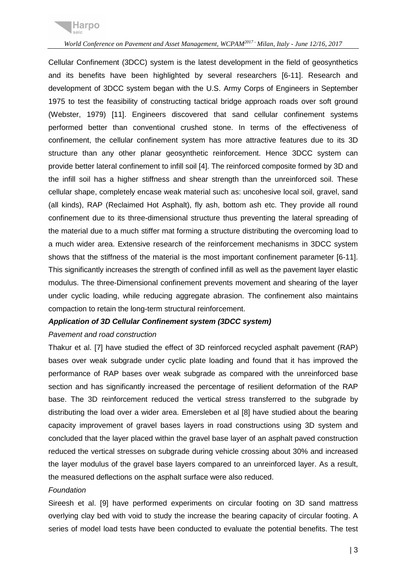

Cellular Confinement (3DCC) system is the latest development in the field of geosynthetics and its benefits have been highlighted by several researchers [6-11]. Research and development of 3DCC system began with the U.S. Army Corps of Engineers in September 1975 to test the feasibility of constructing tactical bridge approach roads over soft ground (Webster, 1979) [11]. Engineers discovered that sand cellular confinement systems performed better than conventional crushed stone. In terms of the effectiveness of confinement, the cellular confinement system has more attractive features due to its 3D structure than any other planar geosynthetic reinforcement. Hence 3DCC system can provide better lateral confinement to infill soil [4]. The reinforced composite formed by 3D and the infill soil has a higher stiffness and shear strength than the unreinforced soil. These cellular shape, completely encase weak material such as: uncohesive local soil, gravel, sand (all kinds), RAP (Reclaimed Hot Asphalt), fly ash, bottom ash etc. They provide all round confinement due to its three-dimensional structure thus preventing the lateral spreading of the material due to a much stiffer mat forming a structure distributing the overcoming load to a much wider area. Extensive research of the reinforcement mechanisms in 3DCC system shows that the stiffness of the material is the most important confinement parameter [6-11]. This significantly increases the strength of confined infill as well as the pavement layer elastic modulus. The three-Dimensional confinement prevents movement and shearing of the layer under cyclic loading, while reducing aggregate abrasion. The confinement also maintains compaction to retain the long-term structural reinforcement.

## **Application of 3D Cellular Confinement system (3DCC system)**

#### Pavement and road construction

Thakur et al. [7] have studied the effect of 3D reinforced recycled asphalt pavement (RAP) bases over weak subgrade under cyclic plate loading and found that it has improved the performance of RAP bases over weak subgrade as compared with the unreinforced base section and has significantly increased the percentage of resilient deformation of the RAP base. The 3D reinforcement reduced the vertical stress transferred to the subgrade by distributing the load over a wider area. Emersleben et al [8] have studied about the bearing capacity improvement of gravel bases layers in road constructions using 3D system and concluded that the layer placed within the gravel base layer of an asphalt paved construction reduced the vertical stresses on subgrade during vehicle crossing about 30% and increased the layer modulus of the gravel base layers compared to an unreinforced layer. As a result, the measured deflections on the asphalt surface were also reduced.

#### Foundation

Sireesh et al. [9] have performed experiments on circular footing on 3D sand mattress overlying clay bed with void to study the increase the bearing capacity of circular footing. A series of model load tests have been conducted to evaluate the potential benefits. The test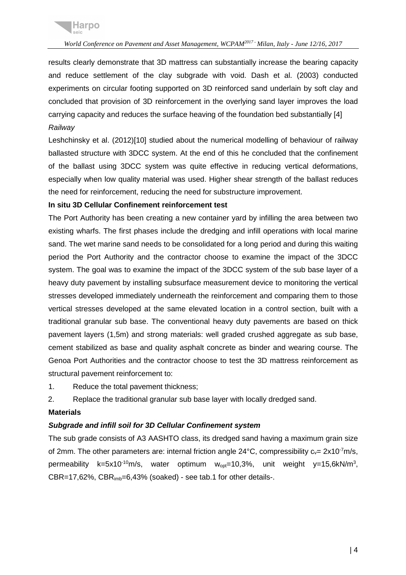

results clearly demonstrate that 3D mattress can substantially increase the bearing capacity and reduce settlement of the clay subgrade with void. Dash et al. (2003) conducted experiments on circular footing supported on 3D reinforced sand underlain by soft clay and concluded that provision of 3D reinforcement in the overlying sand layer improves the load carrying capacity and reduces the surface heaving of the foundation bed substantially [4] Railway

Leshchinsky et al. (2012)[10] studied about the numerical modelling of behaviour of railway ballasted structure with 3DCC system. At the end of this he concluded that the confinement of the ballast using 3DCC system was quite effective in reducing vertical deformations, especially when low quality material was used. Higher shear strength of the ballast reduces the need for reinforcement, reducing the need for substructure improvement.

## **In situ 3D Cellular Confinement reinforcement test**

The Port Authority has been creating a new container yard by infilling the area between two existing wharfs. The first phases include the dredging and infill operations with local marine sand. The wet marine sand needs to be consolidated for a long period and during this waiting period the Port Authority and the contractor choose to examine the impact of the 3DCC system. The goal was to examine the impact of the 3DCC system of the sub base layer of a heavy duty pavement by installing subsurface measurement device to monitoring the vertical stresses developed immediately underneath the reinforcement and comparing them to those vertical stresses developed at the same elevated location in a control section, built with a traditional granular sub base. The conventional heavy duty pavements are based on thick pavement layers (1,5m) and strong materials: well graded crushed aggregate as sub base, cement stabilized as base and quality asphalt concrete as binder and wearing course. The Genoa Port Authorities and the contractor choose to test the 3D mattress reinforcement as structural pavement reinforcement to:

1. Reduce the total pavement thickness;

2. Replace the traditional granular sub base layer with locally dredged sand.

# **Materials**

# **Subgrade and infill soil for 3D Cellular Confinement system**

The sub grade consists of A3 AASHTO class, its dredged sand having a maximum grain size of 2mm. The other parameters are: internal friction angle  $24^{\circ}$ C, compressibility  $c_v = 2 \times 10^{-7}$ m/s, permeability k=5x10<sup>-10</sup>m/s, water optimum  $w_{opt}$ =10,3%, unit weight y=15,6kN/m<sup>3</sup>, CBR=17,62%, CBRimb=6,43% (soaked) - see tab.1 for other details-.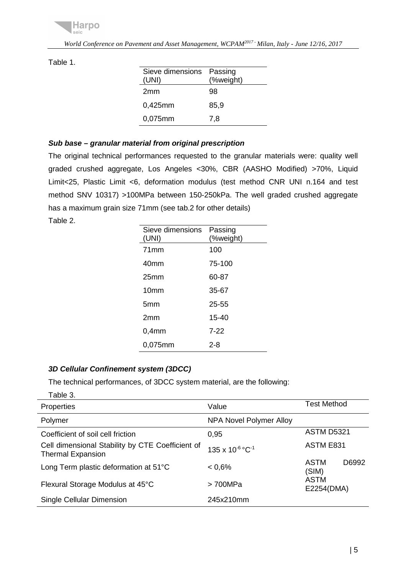

| Sieve dimensions<br>(UNI) | Passing<br>(%weight) |
|---------------------------|----------------------|
| 2 <sub>mm</sub>           | 98                   |
| $0,425$ mm                | 85,9                 |
| 0,075mm                   | 7,8                  |

#### Table 1.

## **Sub base – granular material from original prescription**

The original technical performances requested to the granular materials were: quality well graded crushed aggregate, Los Angeles <30%, CBR (AASHO Modified) >70%, Liquid Limit<25, Plastic Limit <6, deformation modulus (test method CNR UNI n.164 and test method SNV 10317) >100MPa between 150-250kPa. The well graded crushed aggregate has a maximum grain size 71mm (see tab.2 for other details)

Table 2.

| Sieve dimensions<br>(UNI) | Passing<br>(%weight) |
|---------------------------|----------------------|
| 71mm                      | 100                  |
| 40mm                      | 75-100               |
| 25 <sub>mm</sub>          | 60-87                |
| 10 <sub>mm</sub>          | 35-67                |
| 5mm                       | $25 - 55$            |
| 2mm                       | $15 - 40$            |
| $0,4$ mm                  | 7-22                 |
| 0,075mm                   | 2-8                  |

## **3D Cellular Confinement system (3DCC)**

The technical performances, of 3DCC system material, are the following:

| Table 3.                                                                     |                         |                        |
|------------------------------------------------------------------------------|-------------------------|------------------------|
| Properties                                                                   | Value                   | <b>Test Method</b>     |
| Polymer                                                                      | NPA Novel Polymer Alloy |                        |
| Coefficient of soil cell friction                                            | 0.95                    | <b>ASTM D5321</b>      |
| Cell dimensional Stability by CTE Coefficient of<br><b>Thermal Expansion</b> | 135 x 10-6 °C-1         | ASTM E831              |
| Long Term plastic deformation at 51°C                                        | 0.6%                    | ASTM<br>D6992<br>(SIM) |
| Flexural Storage Modulus at 45°C                                             | > 700MPa                | ASTM<br>E2254(DMA)     |
| Single Cellular Dimension                                                    | 245x210mm               |                        |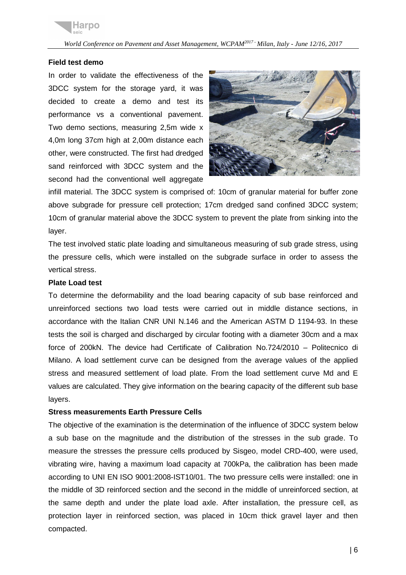## **Field test demo**

In order to validate the effectiveness of the 3DCC system for the storage yard, it was decided to create a demo and test its performance vs a conventional pavement. Two demo sections, measuring 2,5m wide x 4,0m long 37cm high at 2,00m distance each other, were constructed. The first had dredged sand reinforced with 3DCC system and the second had the conventional well aggregate



infill material. The 3DCC system is comprised of: 10cm of granular material for buffer zone above subgrade for pressure cell protection; 17cm dredged sand confined 3DCC system; 10cm of granular material above the 3DCC system to prevent the plate from sinking into the layer.

The test involved static plate loading and simultaneous measuring of sub grade stress, using the pressure cells, which were installed on the subgrade surface in order to assess the vertical stress.

#### **Plate Load test**

To determine the deformability and the load bearing capacity of sub base reinforced and unreinforced sections two load tests were carried out in middle distance sections, in accordance with the Italian CNR UNI N.146 and the American ASTM D 1194-93. In these tests the soil is charged and discharged by circular footing with a diameter 30cm and a max force of 200kN. The device had Certificate of Calibration No.724/2010 – Politecnico di Milano. A load settlement curve can be designed from the average values of the applied stress and measured settlement of load plate. From the load settlement curve Md and E values are calculated. They give information on the bearing capacity of the different sub base layers.

#### **Stress measurements Earth Pressure Cells**

The objective of the examination is the determination of the influence of 3DCC system below a sub base on the magnitude and the distribution of the stresses in the sub grade. To measure the stresses the pressure cells produced by Sisgeo, model CRD-400, were used, vibrating wire, having a maximum load capacity at 700kPa, the calibration has been made according to UNI EN ISO 9001:2008-IST10/01. The two pressure cells were installed: one in the middle of 3D reinforced section and the second in the middle of unreinforced section, at the same depth and under the plate load axle. After installation, the pressure cell, as protection layer in reinforced section, was placed in 10cm thick gravel layer and then compacted.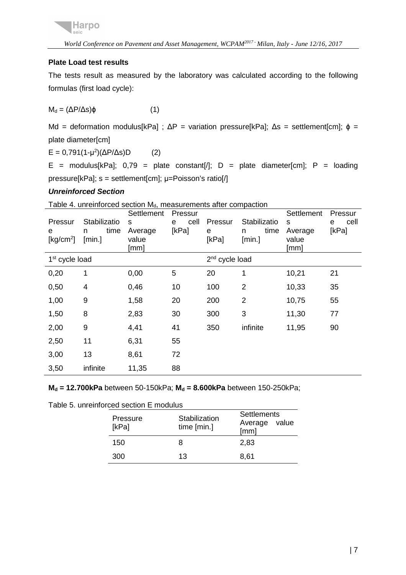# **Plate Load test results**

The tests result as measured by the laboratory was calculated according to the following formulas (first load cycle):

$$
M_d = (\Delta P/\Delta s)\phi
$$
 (1)

Md = deformation modulus[kPa] ;  $\Delta P$  = variation pressure[kPa];  $\Delta s$  = settlement[cm];  $\phi$  = plate diameter[cm]

 $E = 0.791(1 - μ^2)(ΔP/Δs)D$  (2)

E = modulus[kPa];  $0.79$  = plate constant[/]; D = plate diameter[cm]; P = loading pressure[kPa]; s = settlement[cm]; μ=Poisson's ratio[/]

## **Unreinforced Section**

Table 4. unreinforced section  $M_d$ , measurements after compaction

| Pressur<br>е<br>[ $kg/cm2$ ] | Stabilizatio<br>time<br>n<br>[min.] | Settlement<br>S<br>Average<br>value<br>[mm] | Pressur<br>cell<br>е<br>[kPa] | Pressur<br>е<br>[kPa]      | Stabilizatio<br>time<br>n<br>[min.] | Settlement<br>S<br>Average<br>value<br>[mm] | Pressur<br>cell<br>е<br>[kPa] |
|------------------------------|-------------------------------------|---------------------------------------------|-------------------------------|----------------------------|-------------------------------------|---------------------------------------------|-------------------------------|
| 1 <sup>st</sup> cycle load   |                                     |                                             |                               | 2 <sup>nd</sup> cycle load |                                     |                                             |                               |
| 0,20                         | 1                                   | 0,00                                        | 5                             | 20                         | 1                                   | 10,21                                       | 21                            |
| 0,50                         | 4                                   | 0,46                                        | 10                            | 100                        | $\overline{2}$                      | 10,33                                       | 35                            |
| 1,00                         | 9                                   | 1,58                                        | 20                            | 200                        | $\overline{2}$                      | 10,75                                       | 55                            |
| 1,50                         | 8                                   | 2,83                                        | 30                            | 300                        | 3                                   | 11,30                                       | 77                            |
| 2,00                         | 9                                   | 4,41                                        | 41                            | 350                        | infinite                            | 11,95                                       | 90                            |
| 2,50                         | 11                                  | 6,31                                        | 55                            |                            |                                     |                                             |                               |
| 3,00                         | 13                                  | 8,61                                        | 72                            |                            |                                     |                                             |                               |
| 3,50                         | infinite                            | 11,35                                       | 88                            |                            |                                     |                                             |                               |

**Md = 12.700kPa** between 50-150kPa; **Md = 8.600kPa** between 150-250kPa;

Table 5. unreinforced section E modulus

| Pressure<br>[kPa] | Stabilization<br>time [min.] | <b>Settlements</b><br>Average value<br>[mm] |
|-------------------|------------------------------|---------------------------------------------|
| 150               | 8                            | 2,83                                        |
| 300               | 13                           | 8,61                                        |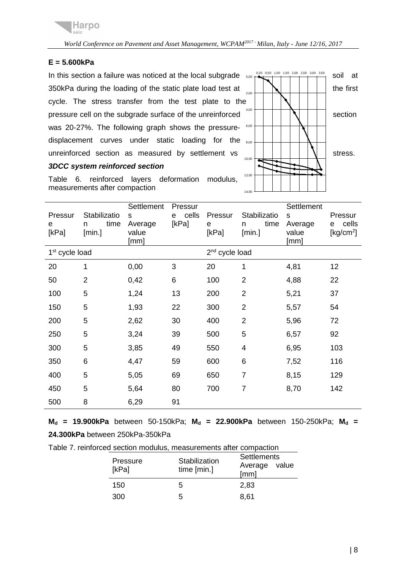## **E = 5.600kPa**

In this section a failure was noticed at the local subgrade  $\frac{0.20}{0.00}$  ( $\frac{0.20}{1.00}$   $\frac{0.50}{1.00}$   $\frac{2.00}{1.50}$   $\frac{2.00}{2.50}$   $\frac{3.50}{3.50}$  soil at 350kPa during the loading of the static plate load test at  $\|\n\|$   $\|\n\|$  | | | | | the first cycle. The stress transfer from the test plate to the pressure cell on the subgrade surface of the unreinforced  $\mathbb{E} \left[ \begin{array}{c} \begin{array}{c} \begin{array}{c} \end{array} \end{array} \right] \begin{array}{c} \begin{array}{c} \end{array} \end{array} \right]$ was 20-27%. The following graph shows the pressuredisplacement curves under static loading for the <sub>8,00</sub> unreinforced section as measured by settlement vs  $\|\cdot\|$  | | | | | | stress.



Table 6. reinforced layers deformation modulus, measurements after compaction

**3DCC system reinforced section** 

| Pressur<br>е<br>[kPa]      | Stabilizatio<br>time<br>n<br>[min.] | Settlement<br>S<br>Average<br>value<br>[mm] | Pressur<br>cells<br>e<br>[kPa] | Pressur<br>е<br>[kPa]      | Stabilizatio<br>time<br>n<br>[min.] | Settlement<br>S<br>Average<br>value<br>[mm] | Pressur<br>cells<br>е<br>[kg/cm <sup>2</sup> ] |
|----------------------------|-------------------------------------|---------------------------------------------|--------------------------------|----------------------------|-------------------------------------|---------------------------------------------|------------------------------------------------|
| 1 <sup>st</sup> cycle load |                                     |                                             |                                | 2 <sup>nd</sup> cycle load |                                     |                                             |                                                |
| 20                         | 1                                   | 0,00                                        | 3                              | 20                         | 1                                   | 4,81                                        | 12                                             |
| 50                         | $\overline{2}$                      | 0,42                                        | 6                              | 100                        | $\overline{2}$                      | 4,88                                        | 22                                             |
| 100                        | 5                                   | 1,24                                        | 13                             | 200                        | $\overline{2}$                      | 5,21                                        | 37                                             |
| 150                        | 5                                   | 1,93                                        | 22                             | 300                        | $\overline{2}$                      | 5,57                                        | 54                                             |
| 200                        | 5                                   | 2,62                                        | 30                             | 400                        | $\overline{2}$                      | 5,96                                        | 72                                             |
| 250                        | 5                                   | 3,24                                        | 39                             | 500                        | 5                                   | 6,57                                        | 92                                             |
| 300                        | 5                                   | 3,85                                        | 49                             | 550                        | 4                                   | 6,95                                        | 103                                            |
| 350                        | 6                                   | 4,47                                        | 59                             | 600                        | 6                                   | 7,52                                        | 116                                            |
| 400                        | 5                                   | 5,05                                        | 69                             | 650                        | $\overline{7}$                      | 8,15                                        | 129                                            |
| 450                        | 5                                   | 5,64                                        | 80                             | 700                        | 7                                   | 8,70                                        | 142                                            |
| 500                        | 8                                   | 6,29                                        | 91                             |                            |                                     |                                             |                                                |

**Md = 19.900kPa** between 50-150kPa; **Md = 22.900kPa** between 150-250kPa; **Md = 24.300kPa** between 250kPa-350kPa

Table 7. reinforced section modulus, measurements after compaction

| Pressure<br>[kPa] | Stabilization<br>time $[min.]$ | <b>Settlements</b><br>Average value<br>[mm] |  |
|-------------------|--------------------------------|---------------------------------------------|--|
| 150               | 5                              | 2.83                                        |  |
| 300               | h.                             | 8.61                                        |  |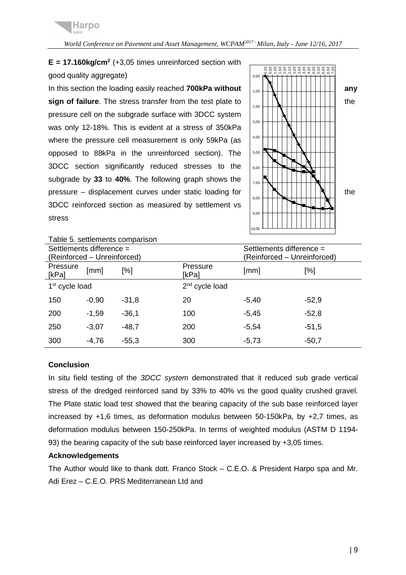

 $E = 17.160 \text{kg/cm}^2$  ( $+3.05$  times unreinforced section with good quality aggregate)

In this section the loading easily reached **700kPa without**  $\begin{bmatrix} 1 & 0 \\ 0 & \end{bmatrix}$ **sign of failure**. The stress transfer from the test plate to  $\begin{bmatrix} \begin{bmatrix} \begin{bmatrix} 1 \end{bmatrix} \end{bmatrix} \begin{bmatrix} \begin{bmatrix} \begin{bmatrix} 1 \end{bmatrix} \end{bmatrix} \end{bmatrix} \begin{bmatrix} \begin{bmatrix} \begin{bmatrix} 1 \end{bmatrix} \end{bmatrix} \end{bmatrix}$ pressure cell on the subgrade surface with 3DCC system was only 12-18%. This is evident at a stress of 350kPa where the pressure cell measurement is only 59kPa (as opposed to 88kPa in the unreinforced section). The 3DCC section significantly reduced stresses to the subgrade by **33** to **40%**. The following graph shows the pressure – displacement curves under static loading for  $||\mathbf{R}||||\mathbf{R}||$  | | | | | | | | | the 3DCC reinforced section as measured by settlement vs stress



| Table 5. settlements comparison |                                                      |         |                   |                             |         |  |
|---------------------------------|------------------------------------------------------|---------|-------------------|-----------------------------|---------|--|
|                                 | Settlements difference =<br>Settlements difference = |         |                   |                             |         |  |
|                                 | (Reinforced - Unreinforced)                          |         |                   | (Reinforced - Unreinforced) |         |  |
| Pressure<br>[kPa]               | [mm]                                                 | [%]     | Pressure<br>[kPa] | [mm]                        | $[\%]$  |  |
| 1 <sup>st</sup> cycle load      |                                                      |         | $2nd$ cycle load  |                             |         |  |
| 150                             | $-0,90$                                              | $-31,8$ | 20                | $-5,40$                     | $-52,9$ |  |
| 200                             | $-1,59$                                              | $-36,1$ | 100               | $-5,45$                     | $-52,8$ |  |
| 250                             | $-3,07$                                              | $-48.7$ | 200               | $-5,54$                     | $-51,5$ |  |
| 300                             | $-4,76$                                              | $-55,3$ | 300               | $-5,73$                     | $-50,7$ |  |

#### **Conclusion**

In situ field testing of the 3DCC system demonstrated that it reduced sub grade vertical stress of the dredged reinforced sand by 33% to 40% vs the good quality crushed gravel. The Plate static load test showed that the bearing capacity of the sub base reinforced layer increased by +1,6 times, as deformation modulus between 50-150kPa, by +2,7 times, as deformation modulus between 150-250kPa. In terms of weighted modulus (ASTM D 1194- 93) the bearing capacity of the sub base reinforced layer increased by +3,05 times.

#### **Acknowledgements**

The Author would like to thank dott. Franco Stock – C.E.O. & President Harpo spa and Mr. Adi Erez – C.E.O. PRS Mediterranean Ltd and